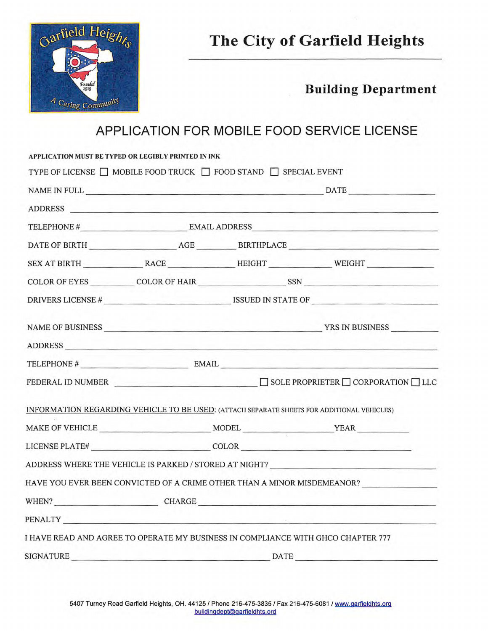

## **The City of Garfield Heights**

**Building Department** 

## **APPLICATION FOR MOBILE FOOD SERVICE LICENSE**

|         | APPLICATION MUST BE TYPED OR LEGIBLY PRINTED IN INK                             |                   |                                                                                                                                                                                                                                |  |
|---------|---------------------------------------------------------------------------------|-------------------|--------------------------------------------------------------------------------------------------------------------------------------------------------------------------------------------------------------------------------|--|
|         | TYPE OF LICENSE $\Box$ MOBILE FOOD TRUCK $\Box$ FOOD STAND $\Box$ SPECIAL EVENT |                   |                                                                                                                                                                                                                                |  |
|         |                                                                                 |                   |                                                                                                                                                                                                                                |  |
|         |                                                                                 |                   | ADDRESS CONSERVERS AND RESERVE AND RESERVE AND RESERVE AND RESERVE AND RESERVE AND RESERVE AND RESERVE AND RESERVE AND RESERVE AND RESERVE AND RESERVE AND RESERVE AND RESERVE AND RESPONDING A REPORT OF A REPORT OF A REPORT |  |
|         |                                                                                 |                   |                                                                                                                                                                                                                                |  |
|         |                                                                                 |                   |                                                                                                                                                                                                                                |  |
|         |                                                                                 |                   | SEX AT BIRTH RACE HEIGHT WEIGHT                                                                                                                                                                                                |  |
|         |                                                                                 |                   | COLOR OF EYES COLOR OF HAIR SSN SSN                                                                                                                                                                                            |  |
|         |                                                                                 |                   |                                                                                                                                                                                                                                |  |
|         |                                                                                 |                   |                                                                                                                                                                                                                                |  |
| ADDRESS |                                                                                 |                   |                                                                                                                                                                                                                                |  |
|         |                                                                                 | TELEPHONE # EMAIL |                                                                                                                                                                                                                                |  |
|         |                                                                                 |                   |                                                                                                                                                                                                                                |  |
|         |                                                                                 |                   | INFORMATION REGARDING VEHICLE TO BE USED: (ATTACH SEPARATE SHEETS FOR ADDITIONAL VEHICLES)                                                                                                                                     |  |
|         |                                                                                 |                   |                                                                                                                                                                                                                                |  |
|         |                                                                                 |                   |                                                                                                                                                                                                                                |  |
|         |                                                                                 |                   | ADDRESS WHERE THE VEHICLE IS PARKED / STORED AT NIGHT? __________________________                                                                                                                                              |  |
|         |                                                                                 |                   | HAVE YOU EVER BEEN CONVICTED OF A CRIME OTHER THAN A MINOR MISDEMEANOR?                                                                                                                                                        |  |
|         |                                                                                 |                   | WHEN? CHARGE CHARGE                                                                                                                                                                                                            |  |
|         |                                                                                 |                   | PENALTY EXPLORER THE RESERVE OF THE RESERVE OF THE RESERVE OF THE RESERVE OF THE RESERVE OF THE RESERVE OF THE                                                                                                                 |  |
|         |                                                                                 |                   | I HAVE READ AND AGREE TO OPERATE MY BUSINESS IN COMPLIANCE WITH GHCO CHAPTER 777                                                                                                                                               |  |
|         |                                                                                 |                   | SIGNATURE DATE                                                                                                                                                                                                                 |  |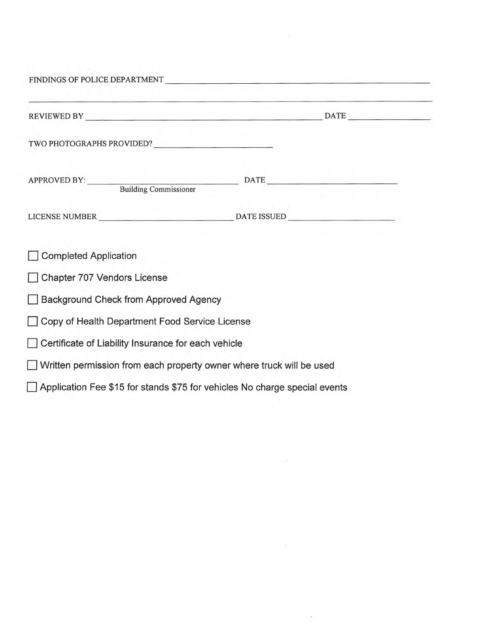|                                                                            | the control of the control of the control of the control of the control of the control of the control of the control of the control of the control of the control of the control of the control of the control of the control |  |
|----------------------------------------------------------------------------|-------------------------------------------------------------------------------------------------------------------------------------------------------------------------------------------------------------------------------|--|
|                                                                            |                                                                                                                                                                                                                               |  |
|                                                                            |                                                                                                                                                                                                                               |  |
|                                                                            |                                                                                                                                                                                                                               |  |
|                                                                            |                                                                                                                                                                                                                               |  |
| <b>Completed Application</b>                                               |                                                                                                                                                                                                                               |  |
| Chapter 707 Vendors License                                                |                                                                                                                                                                                                                               |  |
| Background Check from Approved Agency                                      |                                                                                                                                                                                                                               |  |
| Copy of Health Department Food Service License                             |                                                                                                                                                                                                                               |  |
| Certificate of Liability Insurance for each vehicle                        |                                                                                                                                                                                                                               |  |
| Written permission from each property owner where truck will be used       |                                                                                                                                                                                                                               |  |
| Application Fee \$15 for stands \$75 for vehicles No charge special events |                                                                                                                                                                                                                               |  |
|                                                                            |                                                                                                                                                                                                                               |  |

 $\sim 100$